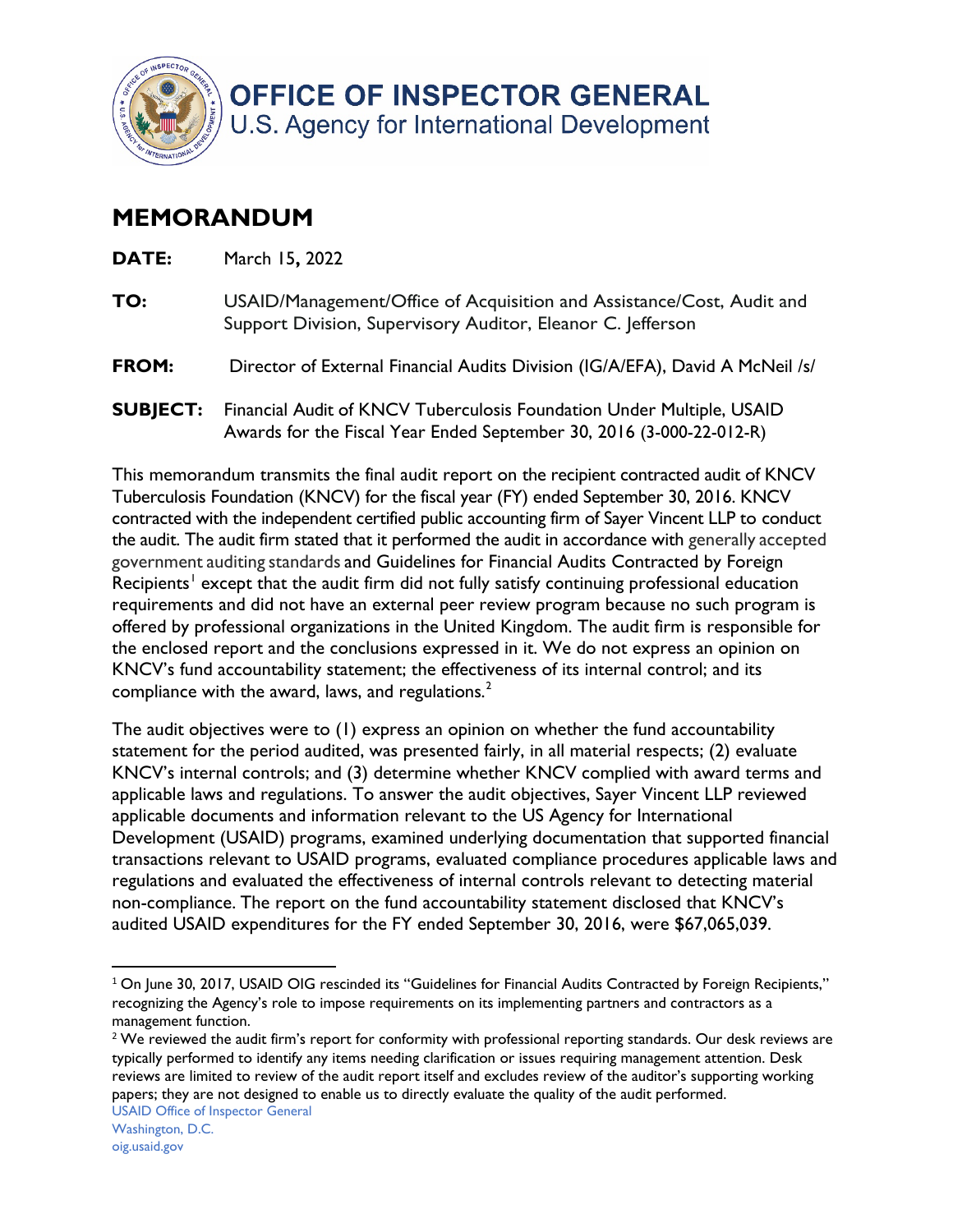

## **MEMORANDUM**

| DATE:           | March 15, 2022                                                                                                                                |
|-----------------|-----------------------------------------------------------------------------------------------------------------------------------------------|
| TO:             | USAID/Management/Office of Acquisition and Assistance/Cost, Audit and<br>Support Division, Supervisory Auditor, Eleanor C. Jefferson          |
| <b>FROM:</b>    | Director of External Financial Audits Division (IG/A/EFA), David A McNeil /s/                                                                 |
| <b>SUBJECT:</b> | Financial Audit of KNCV Tuberculosis Foundation Under Multiple, USAID<br>Awards for the Fiscal Year Ended September 30, 2016 (3-000-22-012-R) |

This memorandum transmits the final audit report on the recipient contracted audit of KNCV Tuberculosis Foundation (KNCV) for the fiscal year (FY) ended September 30, 2016. KNCV contracted with the independent certified public accounting firm of Sayer Vincent LLP to conduct the audit. The audit firm stated that it performed the audit in accordance with generally accepted government auditing standards and Guidelines for Financial Audits Contracted by Foreign Recipients<sup>1</sup> except that the audit firm did not fully satisfy continuing professional education requirements and did not have an external peer review program because no such program is offered by professional organizations in the United Kingdom. The audit firm is responsible for the enclosed report and the conclusions expressed in it. We do not express an opinion on KNCV's fund accountability statement; the effectiveness of its internal control; and its compliance with the award, laws, and regulations. $2$ 

The audit objectives were to (1) express an opinion on whether the fund accountability statement for the period audited, was presented fairly, in all material respects; (2) evaluate KNCV's internal controls; and (3) determine whether KNCV complied with award terms and applicable laws and regulations. To answer the audit objectives, Sayer Vincent LLP reviewed applicable documents and information relevant to the US Agency for International Development (USAID) programs, examined underlying documentation that supported financial transactions relevant to USAID programs, evaluated compliance procedures applicable laws and regulations and evaluated the effectiveness of internal controls relevant to detecting material non-compliance. The report on the fund accountability statement disclosed that KNCV's audited USAID expenditures for the FY ended September 30, 2016, were \$67,065,039.

 $^1$  On June 30, 2017, USAID OIG rescinded its "Guidelines for Financial Audits Contracted by Foreign Recipients," recognizing the Agency's role to impose requirements on its implementing partners and contractors as a management function.

 $2$  We reviewed the audit firm's report for conformity with professional reporting standards. Our desk reviews are typically performed to identify any items needing clarification or issues requiring management attention. Desk reviews are limited to review of the audit report itself and excludes review of the auditor's supporting working papers; they are not designed to enable us to directly evaluate the quality of the audit performed.